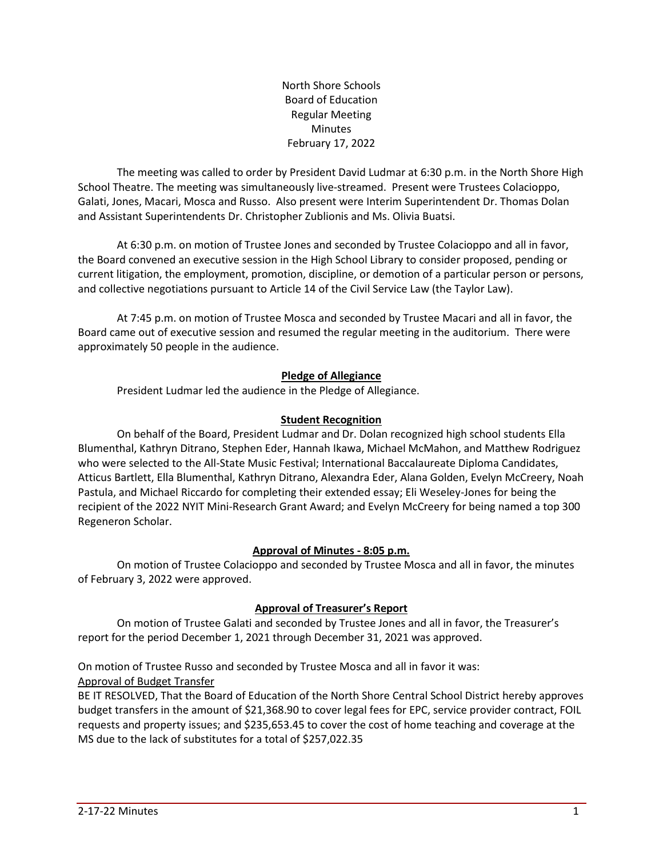North Shore Schools Board of Education Regular Meeting Minutes February 17, 2022

The meeting was called to order by President David Ludmar at 6:30 p.m. in the North Shore High School Theatre. The meeting was simultaneously live-streamed. Present were Trustees Colacioppo, Galati, Jones, Macari, Mosca and Russo. Also present were Interim Superintendent Dr. Thomas Dolan and Assistant Superintendents Dr. Christopher Zublionis and Ms. Olivia Buatsi.

At 6:30 p.m. on motion of Trustee Jones and seconded by Trustee Colacioppo and all in favor, the Board convened an executive session in the High School Library to consider proposed, pending or current litigation, the employment, promotion, discipline, or demotion of a particular person or persons, and collective negotiations pursuant to Article 14 of the Civil Service Law (the Taylor Law).

At 7:45 p.m. on motion of Trustee Mosca and seconded by Trustee Macari and all in favor, the Board came out of executive session and resumed the regular meeting in the auditorium. There were approximately 50 people in the audience.

## **Pledge of Allegiance**

President Ludmar led the audience in the Pledge of Allegiance.

## **Student Recognition**

On behalf of the Board, President Ludmar and Dr. Dolan recognized high school students Ella Blumenthal, Kathryn Ditrano, Stephen Eder, Hannah Ikawa, Michael McMahon, and Matthew Rodriguez who were selected to the All-State Music Festival; International Baccalaureate Diploma Candidates, Atticus Bartlett, Ella Blumenthal, Kathryn Ditrano, Alexandra Eder, Alana Golden, Evelyn McCreery, Noah Pastula, and Michael Riccardo for completing their extended essay; Eli Weseley-Jones for being the recipient of the 2022 NYIT Mini-Research Grant Award; and Evelyn McCreery for being named a top 300 Regeneron Scholar.

## **Approval of Minutes - 8:05 p.m.**

On motion of Trustee Colacioppo and seconded by Trustee Mosca and all in favor, the minutes of February 3, 2022 were approved.

# **Approval of Treasurer's Report**

On motion of Trustee Galati and seconded by Trustee Jones and all in favor, the Treasurer's report for the period December 1, 2021 through December 31, 2021 was approved.

On motion of Trustee Russo and seconded by Trustee Mosca and all in favor it was: Approval of Budget Transfer

BE IT RESOLVED, That the Board of Education of the North Shore Central School District hereby approves budget transfers in the amount of \$21,368.90 to cover legal fees for EPC, service provider contract, FOIL requests and property issues; and \$235,653.45 to cover the cost of home teaching and coverage at the MS due to the lack of substitutes for a total of \$257,022.35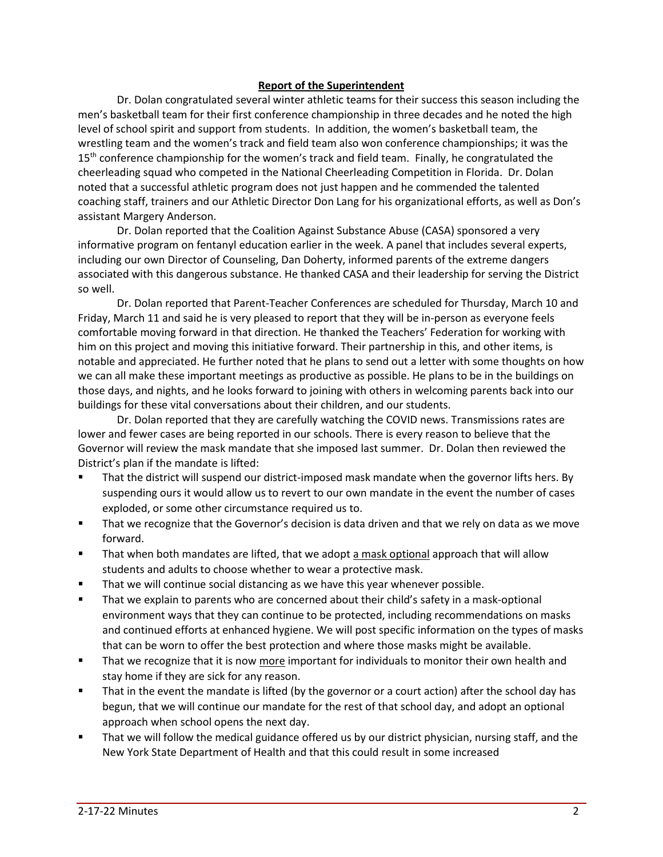### **Report of the Superintendent**

Dr. Dolan congratulated several winter athletic teams for their success this season including the men's basketball team for their first conference championship in three decades and he noted the high level of school spirit and support from students. In addition, the women's basketball team, the wrestling team and the women's track and field team also won conference championships; it was the 15<sup>th</sup> conference championship for the women's track and field team. Finally, he congratulated the cheerleading squad who competed in the National Cheerleading Competition in Florida. Dr. Dolan noted that a successful athletic program does not just happen and he commended the talented coaching staff, trainers and our Athletic Director Don Lang for his organizational efforts, as well as Don's assistant Margery Anderson.

Dr. Dolan reported that the Coalition Against Substance Abuse (CASA) sponsored a very informative program on fentanyl education earlier in the week. A panel that includes several experts, including our own Director of Counseling, Dan Doherty, informed parents of the extreme dangers associated with this dangerous substance. He thanked CASA and their leadership for serving the District so well.

Dr. Dolan reported that Parent-Teacher Conferences are scheduled for Thursday, March 10 and Friday, March 11 and said he is very pleased to report that they will be in-person as everyone feels comfortable moving forward in that direction. He thanked the Teachers' Federation for working with him on this project and moving this initiative forward. Their partnership in this, and other items, is notable and appreciated. He further noted that he plans to send out a letter with some thoughts on how we can all make these important meetings as productive as possible. He plans to be in the buildings on those days, and nights, and he looks forward to joining with others in welcoming parents back into our buildings for these vital conversations about their children, and our students.

Dr. Dolan reported that they are carefully watching the COVID news. Transmissions rates are lower and fewer cases are being reported in our schools. There is every reason to believe that the Governor will review the mask mandate that she imposed last summer. Dr. Dolan then reviewed the District's plan if the mandate is lifted:

- That the district will suspend our district-imposed mask mandate when the governor lifts hers. By suspending ours it would allow us to revert to our own mandate in the event the number of cases exploded, or some other circumstance required us to.
- That we recognize that the Governor's decision is data driven and that we rely on data as we move forward.
- That when both mandates are lifted, that we adopt a mask optional approach that will allow students and adults to choose whether to wear a protective mask.
- That we will continue social distancing as we have this year whenever possible.
- That we explain to parents who are concerned about their child's safety in a mask-optional environment ways that they can continue to be protected, including recommendations on masks and continued efforts at enhanced hygiene. We will post specific information on the types of masks that can be worn to offer the best protection and where those masks might be available.
- **■** That we recognize that it is now more important for individuals to monitor their own health and stay home if they are sick for any reason.
- That in the event the mandate is lifted (by the governor or a court action) after the school day has begun, that we will continue our mandate for the rest of that school day, and adopt an optional approach when school opens the next day.
- That we will follow the medical guidance offered us by our district physician, nursing staff, and the New York State Department of Health and that this could result in some increased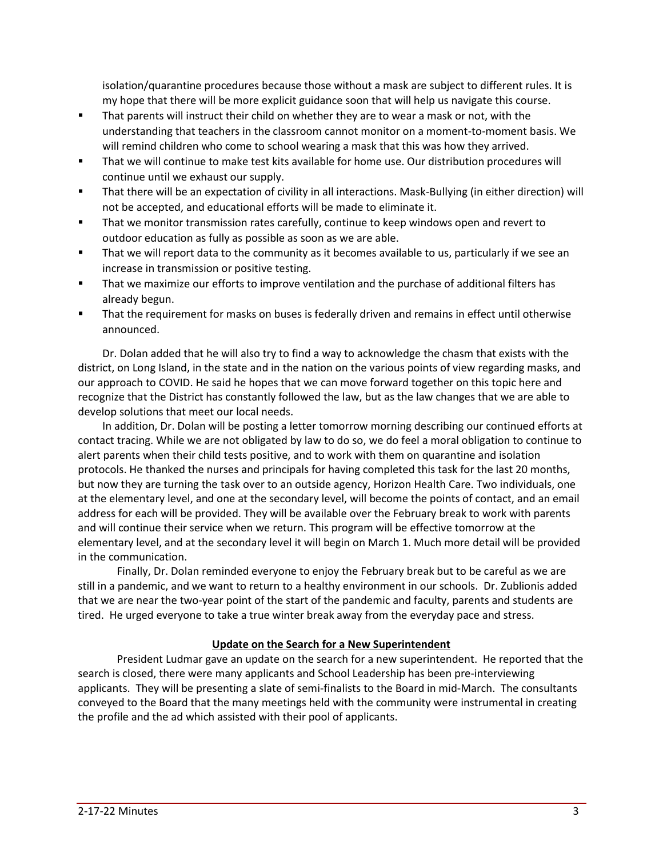isolation/quarantine procedures because those without a mask are subject to different rules. It is my hope that there will be more explicit guidance soon that will help us navigate this course.

- That parents will instruct their child on whether they are to wear a mask or not, with the understanding that teachers in the classroom cannot monitor on a moment-to-moment basis. We will remind children who come to school wearing a mask that this was how they arrived.
- That we will continue to make test kits available for home use. Our distribution procedures will continue until we exhaust our supply.
- That there will be an expectation of civility in all interactions. Mask-Bullying (in either direction) will not be accepted, and educational efforts will be made to eliminate it.
- That we monitor transmission rates carefully, continue to keep windows open and revert to outdoor education as fully as possible as soon as we are able.
- That we will report data to the community as it becomes available to us, particularly if we see an increase in transmission or positive testing.
- That we maximize our efforts to improve ventilation and the purchase of additional filters has already begun.
- That the requirement for masks on buses is federally driven and remains in effect until otherwise announced.

Dr. Dolan added that he will also try to find a way to acknowledge the chasm that exists with the district, on Long Island, in the state and in the nation on the various points of view regarding masks, and our approach to COVID. He said he hopes that we can move forward together on this topic here and recognize that the District has constantly followed the law, but as the law changes that we are able to develop solutions that meet our local needs.

In addition, Dr. Dolan will be posting a letter tomorrow morning describing our continued efforts at contact tracing. While we are not obligated by law to do so, we do feel a moral obligation to continue to alert parents when their child tests positive, and to work with them on quarantine and isolation protocols. He thanked the nurses and principals for having completed this task for the last 20 months, but now they are turning the task over to an outside agency, Horizon Health Care. Two individuals, one at the elementary level, and one at the secondary level, will become the points of contact, and an email address for each will be provided. They will be available over the February break to work with parents and will continue their service when we return. This program will be effective tomorrow at the elementary level, and at the secondary level it will begin on March 1. Much more detail will be provided in the communication.

Finally, Dr. Dolan reminded everyone to enjoy the February break but to be careful as we are still in a pandemic, and we want to return to a healthy environment in our schools. Dr. Zublionis added that we are near the two-year point of the start of the pandemic and faculty, parents and students are tired. He urged everyone to take a true winter break away from the everyday pace and stress.

## **Update on the Search for a New Superintendent**

President Ludmar gave an update on the search for a new superintendent. He reported that the search is closed, there were many applicants and School Leadership has been pre-interviewing applicants. They will be presenting a slate of semi-finalists to the Board in mid-March. The consultants conveyed to the Board that the many meetings held with the community were instrumental in creating the profile and the ad which assisted with their pool of applicants.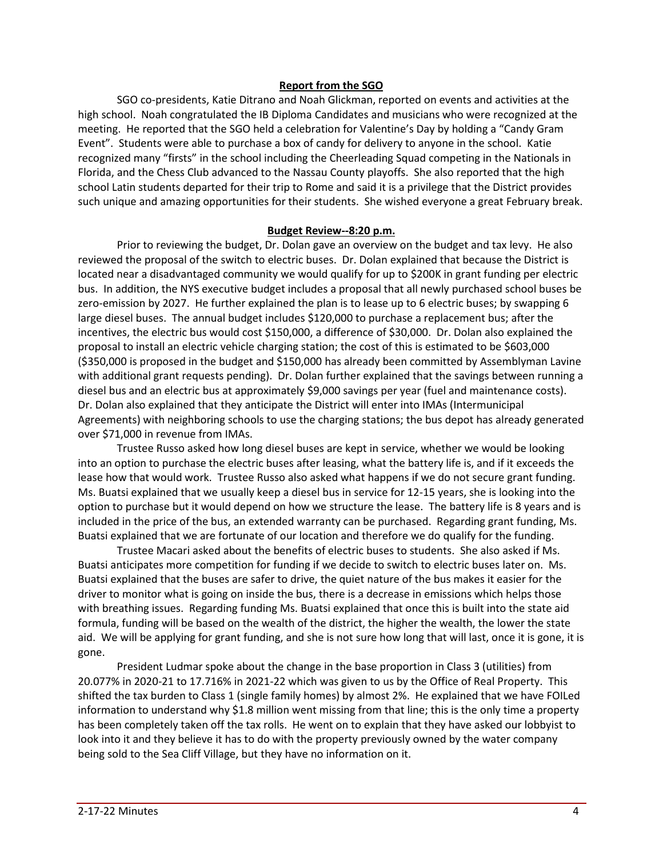### **Report from the SGO**

SGO co-presidents, Katie Ditrano and Noah Glickman, reported on events and activities at the high school. Noah congratulated the IB Diploma Candidates and musicians who were recognized at the meeting. He reported that the SGO held a celebration for Valentine's Day by holding a "Candy Gram Event". Students were able to purchase a box of candy for delivery to anyone in the school. Katie recognized many "firsts" in the school including the Cheerleading Squad competing in the Nationals in Florida, and the Chess Club advanced to the Nassau County playoffs. She also reported that the high school Latin students departed for their trip to Rome and said it is a privilege that the District provides such unique and amazing opportunities for their students. She wished everyone a great February break.

#### **Budget Review--8:20 p.m.**

Prior to reviewing the budget, Dr. Dolan gave an overview on the budget and tax levy. He also reviewed the proposal of the switch to electric buses. Dr. Dolan explained that because the District is located near a disadvantaged community we would qualify for up to \$200K in grant funding per electric bus. In addition, the NYS executive budget includes a proposal that all newly purchased school buses be zero-emission by 2027. He further explained the plan is to lease up to 6 electric buses; by swapping 6 large diesel buses. The annual budget includes \$120,000 to purchase a replacement bus; after the incentives, the electric bus would cost \$150,000, a difference of \$30,000. Dr. Dolan also explained the proposal to install an electric vehicle charging station; the cost of this is estimated to be \$603,000 (\$350,000 is proposed in the budget and \$150,000 has already been committed by Assemblyman Lavine with additional grant requests pending). Dr. Dolan further explained that the savings between running a diesel bus and an electric bus at approximately \$9,000 savings per year (fuel and maintenance costs). Dr. Dolan also explained that they anticipate the District will enter into IMAs (Intermunicipal Agreements) with neighboring schools to use the charging stations; the bus depot has already generated over \$71,000 in revenue from IMAs.

Trustee Russo asked how long diesel buses are kept in service, whether we would be looking into an option to purchase the electric buses after leasing, what the battery life is, and if it exceeds the lease how that would work. Trustee Russo also asked what happens if we do not secure grant funding. Ms. Buatsi explained that we usually keep a diesel bus in service for 12-15 years, she is looking into the option to purchase but it would depend on how we structure the lease. The battery life is 8 years and is included in the price of the bus, an extended warranty can be purchased. Regarding grant funding, Ms. Buatsi explained that we are fortunate of our location and therefore we do qualify for the funding.

Trustee Macari asked about the benefits of electric buses to students. She also asked if Ms. Buatsi anticipates more competition for funding if we decide to switch to electric buses later on. Ms. Buatsi explained that the buses are safer to drive, the quiet nature of the bus makes it easier for the driver to monitor what is going on inside the bus, there is a decrease in emissions which helps those with breathing issues. Regarding funding Ms. Buatsi explained that once this is built into the state aid formula, funding will be based on the wealth of the district, the higher the wealth, the lower the state aid. We will be applying for grant funding, and she is not sure how long that will last, once it is gone, it is gone.

President Ludmar spoke about the change in the base proportion in Class 3 (utilities) from 20.077% in 2020-21 to 17.716% in 2021-22 which was given to us by the Office of Real Property. This shifted the tax burden to Class 1 (single family homes) by almost 2%. He explained that we have FOILed information to understand why \$1.8 million went missing from that line; this is the only time a property has been completely taken off the tax rolls. He went on to explain that they have asked our lobbyist to look into it and they believe it has to do with the property previously owned by the water company being sold to the Sea Cliff Village, but they have no information on it.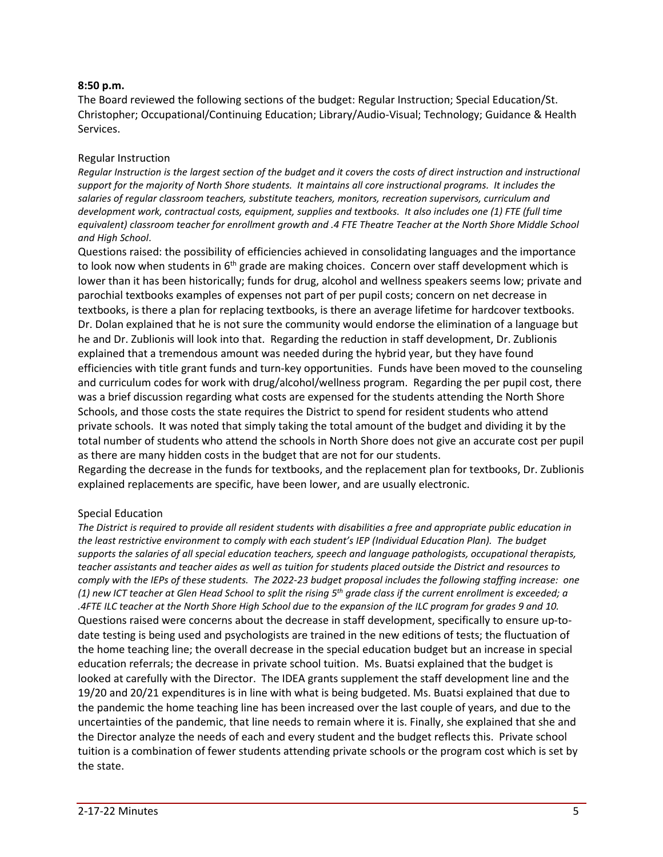#### **8:50 p.m.**

The Board reviewed the following sections of the budget: Regular Instruction; Special Education/St. Christopher; Occupational/Continuing Education; Library/Audio-Visual; Technology; Guidance & Health Services.

### Regular Instruction

Regular Instruction is the largest section of the budget and it covers the costs of direct instruction and instructional *support for the majority of North Shore students. It maintains all core instructional programs. It includes the salaries of regular classroom teachers, substitute teachers, monitors, recreation supervisors, curriculum and development work, contractual costs, equipment, supplies and textbooks. It also includes one (1) FTE (full time* equivalent) classroom teacher for enrollment growth and .4 FTE Theatre Teacher at the North Shore Middle School *and High School*.

Questions raised: the possibility of efficiencies achieved in consolidating languages and the importance to look now when students in 6<sup>th</sup> grade are making choices. Concern over staff development which is lower than it has been historically; funds for drug, alcohol and wellness speakers seems low; private and parochial textbooks examples of expenses not part of per pupil costs; concern on net decrease in textbooks, is there a plan for replacing textbooks, is there an average lifetime for hardcover textbooks. Dr. Dolan explained that he is not sure the community would endorse the elimination of a language but he and Dr. Zublionis will look into that. Regarding the reduction in staff development, Dr. Zublionis explained that a tremendous amount was needed during the hybrid year, but they have found efficiencies with title grant funds and turn-key opportunities. Funds have been moved to the counseling and curriculum codes for work with drug/alcohol/wellness program. Regarding the per pupil cost, there was a brief discussion regarding what costs are expensed for the students attending the North Shore Schools, and those costs the state requires the District to spend for resident students who attend private schools. It was noted that simply taking the total amount of the budget and dividing it by the total number of students who attend the schools in North Shore does not give an accurate cost per pupil as there are many hidden costs in the budget that are not for our students.

Regarding the decrease in the funds for textbooks, and the replacement plan for textbooks, Dr. Zublionis explained replacements are specific, have been lower, and are usually electronic.

#### Special Education

The District is required to provide all resident students with disabilities a free and appropriate public education in *the least restrictive environment to comply with each student's IEP (Individual Education Plan). The budget supports the salaries of all special education teachers, speech and language pathologists, occupational therapists,* teacher assistants and teacher aides as well as tuition for students placed outside the District and resources to *comply with the IEPs of these students. The 2022-23 budget proposal includes the following staffing increase: one* (1) new ICT teacher at Glen Head School to split the rising  $5^{th}$  grade class if the current enrollment is exceeded; a .4FTE ILC teacher at the North Shore High School due to the expansion of the ILC program for grades 9 and 10. Questions raised were concerns about the decrease in staff development, specifically to ensure up-todate testing is being used and psychologists are trained in the new editions of tests; the fluctuation of the home teaching line; the overall decrease in the special education budget but an increase in special education referrals; the decrease in private school tuition. Ms. Buatsi explained that the budget is looked at carefully with the Director. The IDEA grants supplement the staff development line and the 19/20 and 20/21 expenditures is in line with what is being budgeted. Ms. Buatsi explained that due to the pandemic the home teaching line has been increased over the last couple of years, and due to the uncertainties of the pandemic, that line needs to remain where it is. Finally, she explained that she and the Director analyze the needs of each and every student and the budget reflects this. Private school tuition is a combination of fewer students attending private schools or the program cost which is set by the state.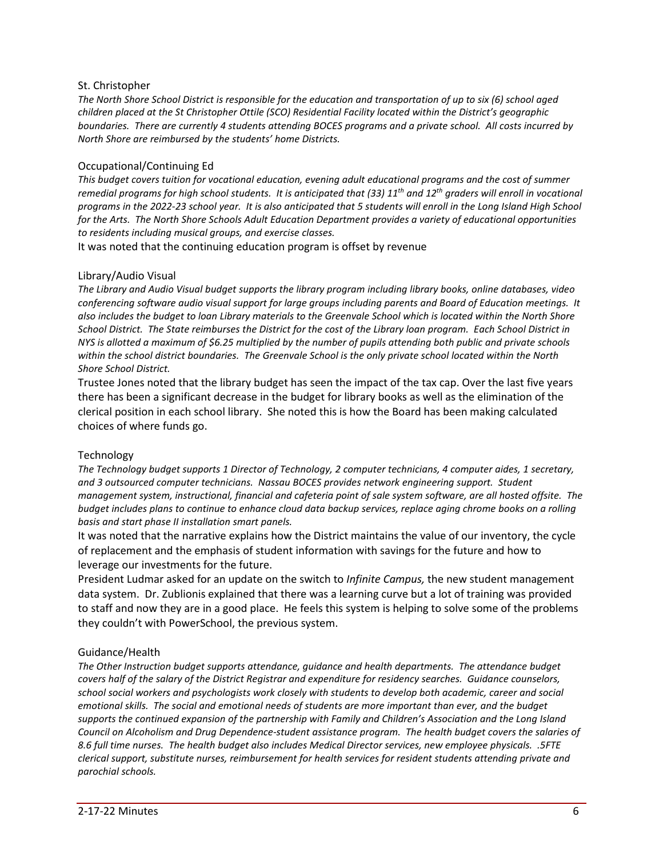### St. Christopher

The North Shore School District is responsible for the education and transportation of up to six (6) school aged *children placed at the St Christopher Ottile (SCO) Residential Facility located within the District's geographic boundaries. There are currently 4 students attending BOCES programs and a private school. All costs incurred by North Shore are reimbursed by the students' home Districts.*

#### Occupational/Continuing Ed

*This budget covers tuition for vocational education, evening adult educational programs and the cost of summer* remedial programs for high school students. It is anticipated that (33)  $11^{th}$  and  $12^{th}$  graders will enroll in vocational programs in the 2022-23 school year. It is also anticipated that 5 students will enroll in the Long Island High School *for the Arts. The North Shore Schools Adult Education Department provides a variety of educational opportunities to residents including musical groups, and exercise classes.*

It was noted that the continuing education program is offset by revenue

#### Library/Audio Visual

The Library and Audio Visual budget supports the library program including library books, online databases, video *conferencing software audio visual support for large groups including parents and Board of Education meetings. It* also includes the budget to loan Library materials to the Greenvale School which is located within the North Shore School District. The State reimburses the District for the cost of the Library loan program. Each School District in NYS is allotted a maximum of \$6.25 multiplied by the number of pupils attending both public and private schools *within the school district boundaries. The Greenvale School is the only private school located within the North Shore School District.*

Trustee Jones noted that the library budget has seen the impact of the tax cap. Over the last five years there has been a significant decrease in the budget for library books as well as the elimination of the clerical position in each school library. She noted this is how the Board has been making calculated choices of where funds go.

#### Technology

*The Technology budget supports 1 Director of Technology, 2 computer technicians, 4 computer aides, 1 secretary, and 3 outsourced computer technicians. Nassau BOCES provides network engineering support. Student management system, instructional, financial and cafeteria point of sale system software, are all hosted offsite. The* budget includes plans to continue to enhance cloud data backup services, replace aging chrome books on a rolling *basis and start phase II installation smart panels.* 

It was noted that the narrative explains how the District maintains the value of our inventory, the cycle of replacement and the emphasis of student information with savings for the future and how to leverage our investments for the future.

President Ludmar asked for an update on the switch to *Infinite Campus,* the new student management data system. Dr. Zublionis explained that there was a learning curve but a lot of training was provided to staff and now they are in a good place. He feels this system is helping to solve some of the problems they couldn't with PowerSchool, the previous system.

#### Guidance/Health

*The Other Instruction budget supports attendance, guidance and health departments. The attendance budget covers half of the salary of the District Registrar and expenditure for residency searches. Guidance counselors, school social workers and psychologists work closely with students to develop both academic, career and social emotional skills. The social and emotional needs of students are more important than ever, and the budget supports the continued expansion of the partnership with Family and Children's Association and the Long Island Council on Alcoholism and Drug Dependence-student assistance program. The health budget covers the salaries of 8.6 full time nurses. The health budget also includes Medical Director services, new employee physicals. .5FTE clerical support, substitute nurses, reimbursement for health services for resident students attending private and parochial schools.*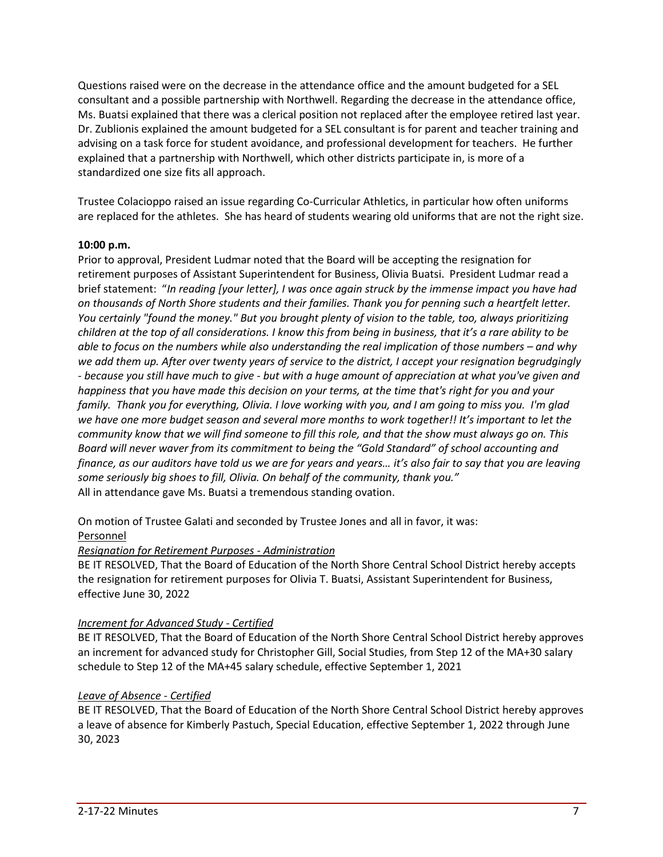Questions raised were on the decrease in the attendance office and the amount budgeted for a SEL consultant and a possible partnership with Northwell. Regarding the decrease in the attendance office, Ms. Buatsi explained that there was a clerical position not replaced after the employee retired last year. Dr. Zublionis explained the amount budgeted for a SEL consultant is for parent and teacher training and advising on a task force for student avoidance, and professional development for teachers. He further explained that a partnership with Northwell, which other districts participate in, is more of a standardized one size fits all approach.

Trustee Colacioppo raised an issue regarding Co-Curricular Athletics, in particular how often uniforms are replaced for the athletes. She has heard of students wearing old uniforms that are not the right size.

## **10:00 p.m.**

Prior to approval, President Ludmar noted that the Board will be accepting the resignation for retirement purposes of Assistant Superintendent for Business, Olivia Buatsi. President Ludmar read a brief statement: "*In reading [your letter], I was once again struck by the immense impact you have had on thousands of North Shore students and their families. Thank you for penning such a heartfelt letter. You certainly "found the money." But you brought plenty of vision to the table, too, always prioritizing* children at the top of all considerations. I know this from being in business, that it's a rare ability to be able to focus on the numbers while also understanding the real implication of those numbers – and why we add them up. After over twenty years of service to the district, I accept your resignation begrudgingly - because you still have much to give - but with a huge amount of appreciation at what you've given and happiness that you have made this decision on your terms, at the time that's right for you and your family. Thank you for everything, Olivia. I love working with you, and I am going to miss you. I'm glad we have one more budget season and several more months to work together!! It's important to let the community know that we will find someone to fill this role, and that the show must always go on. This *Board will never waver from its commitment to being the "Gold Standard" of school accounting and* finance, as our auditors have told us we are for years and years... it's also fair to say that you are leaving *some seriously big shoes to fill, Olivia. On behalf of the community, thank you."* All in attendance gave Ms. Buatsi a tremendous standing ovation.

On motion of Trustee Galati and seconded by Trustee Jones and all in favor, it was: Personnel

# *Resignation for Retirement Purposes - Administration*

BE IT RESOLVED, That the Board of Education of the North Shore Central School District hereby accepts the resignation for retirement purposes for Olivia T. Buatsi, Assistant Superintendent for Business, effective June 30, 2022

## *Increment for Advanced Study - Certified*

BE IT RESOLVED, That the Board of Education of the North Shore Central School District hereby approves an increment for advanced study for Christopher Gill, Social Studies, from Step 12 of the MA+30 salary schedule to Step 12 of the MA+45 salary schedule, effective September 1, 2021

# *Leave of Absence - Certified*

BE IT RESOLVED, That the Board of Education of the North Shore Central School District hereby approves a leave of absence for Kimberly Pastuch, Special Education, effective September 1, 2022 through June 30, 2023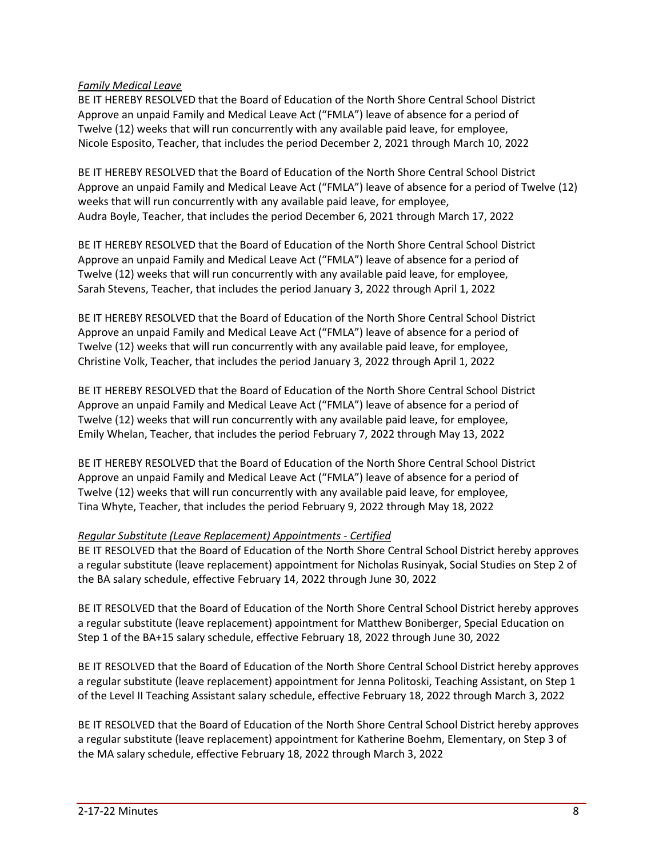## *Family Medical Leave*

BE IT HEREBY RESOLVED that the Board of Education of the North Shore Central School District Approve an unpaid Family and Medical Leave Act ("FMLA") leave of absence for a period of Twelve (12) weeks that will run concurrently with any available paid leave, for employee, Nicole Esposito, Teacher, that includes the period December 2, 2021 through March 10, 2022

BE IT HEREBY RESOLVED that the Board of Education of the North Shore Central School District Approve an unpaid Family and Medical Leave Act ("FMLA") leave of absence for a period of Twelve (12) weeks that will run concurrently with any available paid leave, for employee, Audra Boyle, Teacher, that includes the period December 6, 2021 through March 17, 2022

BE IT HEREBY RESOLVED that the Board of Education of the North Shore Central School District Approve an unpaid Family and Medical Leave Act ("FMLA") leave of absence for a period of Twelve (12) weeks that will run concurrently with any available paid leave, for employee, Sarah Stevens, Teacher, that includes the period January 3, 2022 through April 1, 2022

BE IT HEREBY RESOLVED that the Board of Education of the North Shore Central School District Approve an unpaid Family and Medical Leave Act ("FMLA") leave of absence for a period of Twelve (12) weeks that will run concurrently with any available paid leave, for employee, Christine Volk, Teacher, that includes the period January 3, 2022 through April 1, 2022

BE IT HEREBY RESOLVED that the Board of Education of the North Shore Central School District Approve an unpaid Family and Medical Leave Act ("FMLA") leave of absence for a period of Twelve (12) weeks that will run concurrently with any available paid leave, for employee, Emily Whelan, Teacher, that includes the period February 7, 2022 through May 13, 2022

BE IT HEREBY RESOLVED that the Board of Education of the North Shore Central School District Approve an unpaid Family and Medical Leave Act ("FMLA") leave of absence for a period of Twelve (12) weeks that will run concurrently with any available paid leave, for employee, Tina Whyte, Teacher, that includes the period February 9, 2022 through May 18, 2022

## *Regular Substitute (Leave Replacement) Appointments - Certified*

BE IT RESOLVED that the Board of Education of the North Shore Central School District hereby approves a regular substitute (leave replacement) appointment for Nicholas Rusinyak, Social Studies on Step 2 of the BA salary schedule, effective February 14, 2022 through June 30, 2022

BE IT RESOLVED that the Board of Education of the North Shore Central School District hereby approves a regular substitute (leave replacement) appointment for Matthew Boniberger, Special Education on Step 1 of the BA+15 salary schedule, effective February 18, 2022 through June 30, 2022

BE IT RESOLVED that the Board of Education of the North Shore Central School District hereby approves a regular substitute (leave replacement) appointment for Jenna Politoski, Teaching Assistant, on Step 1 of the Level II Teaching Assistant salary schedule, effective February 18, 2022 through March 3, 2022

BE IT RESOLVED that the Board of Education of the North Shore Central School District hereby approves a regular substitute (leave replacement) appointment for Katherine Boehm, Elementary, on Step 3 of the MA salary schedule, effective February 18, 2022 through March 3, 2022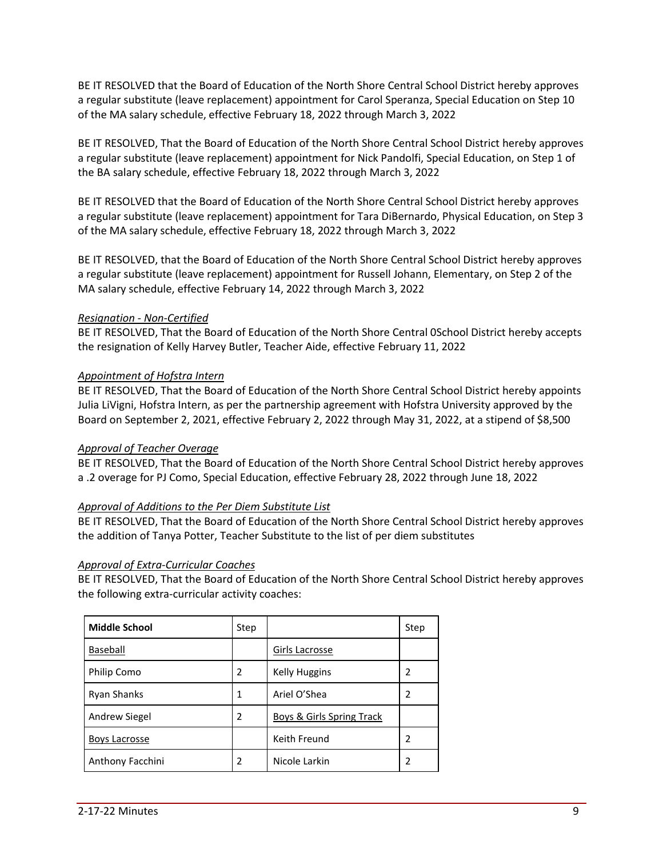BE IT RESOLVED that the Board of Education of the North Shore Central School District hereby approves a regular substitute (leave replacement) appointment for Carol Speranza, Special Education on Step 10 of the MA salary schedule, effective February 18, 2022 through March 3, 2022

BE IT RESOLVED, That the Board of Education of the North Shore Central School District hereby approves a regular substitute (leave replacement) appointment for Nick Pandolfi, Special Education, on Step 1 of the BA salary schedule, effective February 18, 2022 through March 3, 2022

BE IT RESOLVED that the Board of Education of the North Shore Central School District hereby approves a regular substitute (leave replacement) appointment for Tara DiBernardo, Physical Education, on Step 3 of the MA salary schedule, effective February 18, 2022 through March 3, 2022

BE IT RESOLVED, that the Board of Education of the North Shore Central School District hereby approves a regular substitute (leave replacement) appointment for Russell Johann, Elementary, on Step 2 of the MA salary schedule, effective February 14, 2022 through March 3, 2022

## *Resignation - Non-Certified*

BE IT RESOLVED, That the Board of Education of the North Shore Central 0School District hereby accepts the resignation of Kelly Harvey Butler, Teacher Aide, effective February 11, 2022

## *Appointment of Hofstra Intern*

BE IT RESOLVED, That the Board of Education of the North Shore Central School District hereby appoints Julia LiVigni, Hofstra Intern, as per the partnership agreement with Hofstra University approved by the Board on September 2, 2021, effective February 2, 2022 through May 31, 2022, at a stipend of \$8,500

## *Approval of Teacher Overage*

BE IT RESOLVED, That the Board of Education of the North Shore Central School District hereby approves a .2 overage for PJ Como, Special Education, effective February 28, 2022 through June 18, 2022

## *Approval of Additions to the Per Diem Substitute List*

BE IT RESOLVED, That the Board of Education of the North Shore Central School District hereby approves the addition of Tanya Potter, Teacher Substitute to the list of per diem substitutes

## *Approval of Extra-Curricular Coaches*

BE IT RESOLVED, That the Board of Education of the North Shore Central School District hereby approves the following extra-curricular activity coaches:

| <b>Middle School</b> | Step |                                      | Step |
|----------------------|------|--------------------------------------|------|
| Baseball             |      | Girls Lacrosse                       |      |
| Philip Como          | 2    | <b>Kelly Huggins</b>                 | 2    |
| <b>Ryan Shanks</b>   | 1    | Ariel O'Shea                         | 2    |
| Andrew Siegel        | 2    | <b>Boys &amp; Girls Spring Track</b> |      |
| Boys Lacrosse        |      | Keith Freund                         | 2    |
| Anthony Facchini     | 2    | Nicole Larkin                        | 2    |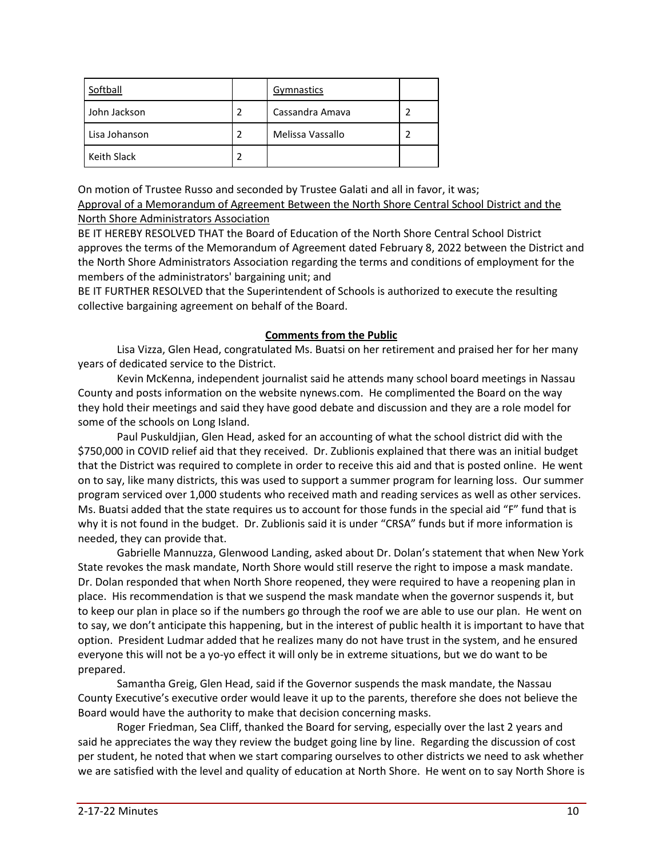| Softball      | Gymnastics       |  |
|---------------|------------------|--|
| John Jackson  | Cassandra Amava  |  |
| Lisa Johanson | Melissa Vassallo |  |
| Keith Slack   |                  |  |

On motion of Trustee Russo and seconded by Trustee Galati and all in favor, it was; Approval of a Memorandum of Agreement Between the North Shore Central School District and the North Shore Administrators Association

BE IT HEREBY RESOLVED THAT the Board of Education of the North Shore Central School District approves the terms of the Memorandum of Agreement dated February 8, 2022 between the District and the North Shore Administrators Association regarding the terms and conditions of employment for the members of the administrators' bargaining unit; and

BE IT FURTHER RESOLVED that the Superintendent of Schools is authorized to execute the resulting collective bargaining agreement on behalf of the Board.

## **Comments from the Public**

Lisa Vizza, Glen Head, congratulated Ms. Buatsi on her retirement and praised her for her many years of dedicated service to the District.

Kevin McKenna, independent journalist said he attends many school board meetings in Nassau County and posts information on the website nynews.com. He complimented the Board on the way they hold their meetings and said they have good debate and discussion and they are a role model for some of the schools on Long Island.

Paul Puskuldjian, Glen Head, asked for an accounting of what the school district did with the \$750,000 in COVID relief aid that they received. Dr. Zublionis explained that there was an initial budget that the District was required to complete in order to receive this aid and that is posted online. He went on to say, like many districts, this was used to support a summer program for learning loss. Our summer program serviced over 1,000 students who received math and reading services as well as other services. Ms. Buatsi added that the state requires us to account for those funds in the special aid "F" fund that is why it is not found in the budget. Dr. Zublionis said it is under "CRSA" funds but if more information is needed, they can provide that.

Gabrielle Mannuzza, Glenwood Landing, asked about Dr. Dolan's statement that when New York State revokes the mask mandate, North Shore would still reserve the right to impose a mask mandate. Dr. Dolan responded that when North Shore reopened, they were required to have a reopening plan in place. His recommendation is that we suspend the mask mandate when the governor suspends it, but to keep our plan in place so if the numbers go through the roof we are able to use our plan. He went on to say, we don't anticipate this happening, but in the interest of public health it is important to have that option. President Ludmar added that he realizes many do not have trust in the system, and he ensured everyone this will not be a yo-yo effect it will only be in extreme situations, but we do want to be prepared.

Samantha Greig, Glen Head, said if the Governor suspends the mask mandate, the Nassau County Executive's executive order would leave it up to the parents, therefore she does not believe the Board would have the authority to make that decision concerning masks.

Roger Friedman, Sea Cliff, thanked the Board for serving, especially over the last 2 years and said he appreciates the way they review the budget going line by line. Regarding the discussion of cost per student, he noted that when we start comparing ourselves to other districts we need to ask whether we are satisfied with the level and quality of education at North Shore. He went on to say North Shore is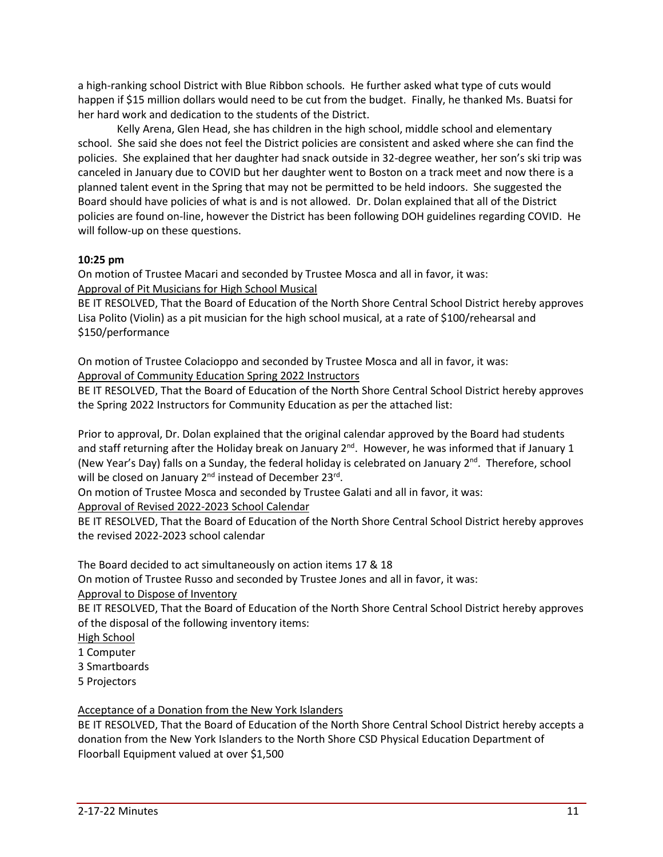a high-ranking school District with Blue Ribbon schools. He further asked what type of cuts would happen if \$15 million dollars would need to be cut from the budget. Finally, he thanked Ms. Buatsi for her hard work and dedication to the students of the District.

Kelly Arena, Glen Head, she has children in the high school, middle school and elementary school. She said she does not feel the District policies are consistent and asked where she can find the policies. She explained that her daughter had snack outside in 32-degree weather, her son's ski trip was canceled in January due to COVID but her daughter went to Boston on a track meet and now there is a planned talent event in the Spring that may not be permitted to be held indoors. She suggested the Board should have policies of what is and is not allowed. Dr. Dolan explained that all of the District policies are found on-line, however the District has been following DOH guidelines regarding COVID. He will follow-up on these questions.

## **10:25 pm**

On motion of Trustee Macari and seconded by Trustee Mosca and all in favor, it was: Approval of Pit Musicians for High School Musical

BE IT RESOLVED, That the Board of Education of the North Shore Central School District hereby approves Lisa Polito (Violin) as a pit musician for the high school musical, at a rate of \$100/rehearsal and \$150/performance

On motion of Trustee Colacioppo and seconded by Trustee Mosca and all in favor, it was: Approval of Community Education Spring 2022 Instructors

BE IT RESOLVED, That the Board of Education of the North Shore Central School District hereby approves the Spring 2022 Instructors for Community Education as per the attached list:

Prior to approval, Dr. Dolan explained that the original calendar approved by the Board had students and staff returning after the Holiday break on January 2<sup>nd</sup>. However, he was informed that if January 1 (New Year's Day) falls on a Sunday, the federal holiday is celebrated on January 2<sup>nd</sup>. Therefore, school will be closed on January 2<sup>nd</sup> instead of December 23<sup>rd</sup>.

On motion of Trustee Mosca and seconded by Trustee Galati and all in favor, it was:

Approval of Revised 2022-2023 School Calendar

BE IT RESOLVED, That the Board of Education of the North Shore Central School District hereby approves the revised 2022-2023 school calendar

The Board decided to act simultaneously on action items 17 & 18

On motion of Trustee Russo and seconded by Trustee Jones and all in favor, it was:

Approval to Dispose of Inventory

BE IT RESOLVED, That the Board of Education of the North Shore Central School District hereby approves of the disposal of the following inventory items:

- High School
- 1 Computer
- 3 Smartboards
- 5 Projectors

Acceptance of a Donation from the New York Islanders

BE IT RESOLVED, That the Board of Education of the North Shore Central School District hereby accepts a donation from the New York Islanders to the North Shore CSD Physical Education Department of Floorball Equipment valued at over \$1,500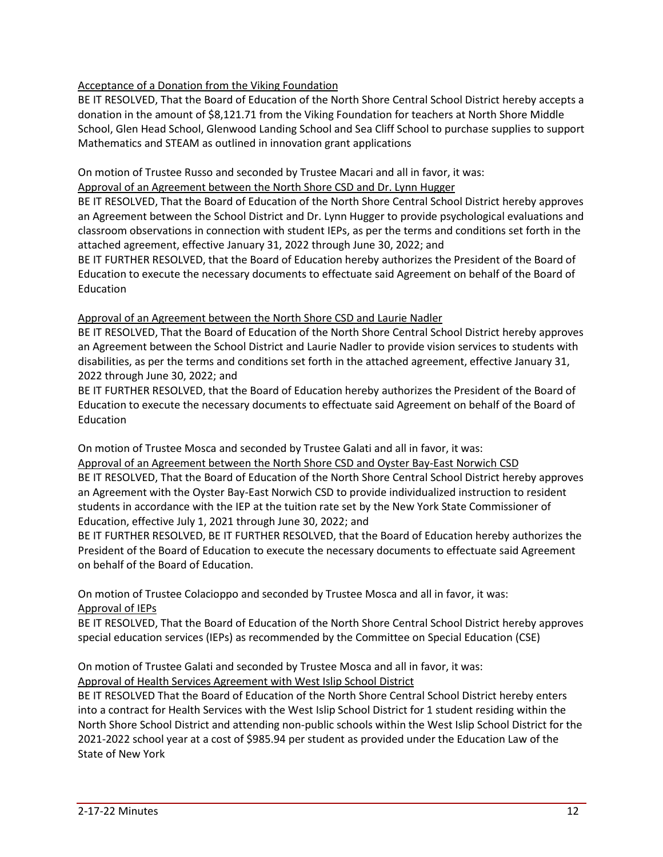# Acceptance of a Donation from the Viking Foundation

BE IT RESOLVED, That the Board of Education of the North Shore Central School District hereby accepts a donation in the amount of \$8,121.71 from the Viking Foundation for teachers at North Shore Middle School, Glen Head School, Glenwood Landing School and Sea Cliff School to purchase supplies to support Mathematics and STEAM as outlined in innovation grant applications

On motion of Trustee Russo and seconded by Trustee Macari and all in favor, it was:

Approval of an Agreement between the North Shore CSD and Dr. Lynn Hugger

BE IT RESOLVED, That the Board of Education of the North Shore Central School District hereby approves an Agreement between the School District and Dr. Lynn Hugger to provide psychological evaluations and classroom observations in connection with student IEPs, as per the terms and conditions set forth in the attached agreement, effective January 31, 2022 through June 30, 2022; and

BE IT FURTHER RESOLVED, that the Board of Education hereby authorizes the President of the Board of Education to execute the necessary documents to effectuate said Agreement on behalf of the Board of Education

## Approval of an Agreement between the North Shore CSD and Laurie Nadler

BE IT RESOLVED, That the Board of Education of the North Shore Central School District hereby approves an Agreement between the School District and Laurie Nadler to provide vision services to students with disabilities, as per the terms and conditions set forth in the attached agreement, effective January 31, 2022 through June 30, 2022; and

BE IT FURTHER RESOLVED, that the Board of Education hereby authorizes the President of the Board of Education to execute the necessary documents to effectuate said Agreement on behalf of the Board of Education

On motion of Trustee Mosca and seconded by Trustee Galati and all in favor, it was: Approval of an Agreement between the North Shore CSD and Oyster Bay-East Norwich CSD BE IT RESOLVED, That the Board of Education of the North Shore Central School District hereby approves an Agreement with the Oyster Bay-East Norwich CSD to provide individualized instruction to resident students in accordance with the IEP at the tuition rate set by the New York State Commissioner of Education, effective July 1, 2021 through June 30, 2022; and

BE IT FURTHER RESOLVED, BE IT FURTHER RESOLVED, that the Board of Education hereby authorizes the President of the Board of Education to execute the necessary documents to effectuate said Agreement on behalf of the Board of Education.

On motion of Trustee Colacioppo and seconded by Trustee Mosca and all in favor, it was: Approval of IEPs

BE IT RESOLVED, That the Board of Education of the North Shore Central School District hereby approves special education services (IEPs) as recommended by the Committee on Special Education (CSE)

# On motion of Trustee Galati and seconded by Trustee Mosca and all in favor, it was:

Approval of Health Services Agreement with West Islip School District

BE IT RESOLVED That the Board of Education of the North Shore Central School District hereby enters into a contract for Health Services with the West Islip School District for 1 student residing within the North Shore School District and attending non-public schools within the West Islip School District for the 2021-2022 school year at a cost of \$985.94 per student as provided under the Education Law of the State of New York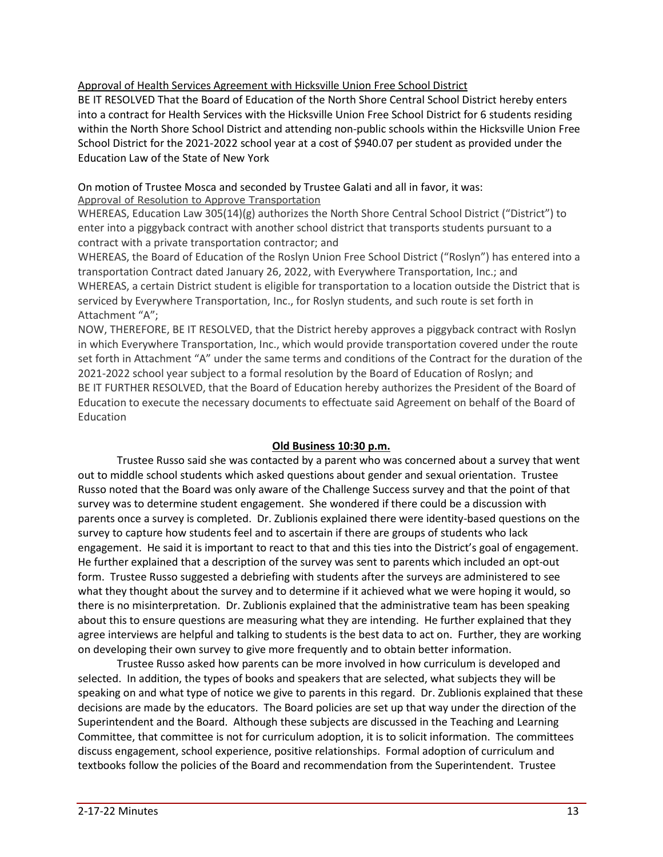## Approval of Health Services Agreement with Hicksville Union Free School District

BE IT RESOLVED That the Board of Education of the North Shore Central School District hereby enters into a contract for Health Services with the Hicksville Union Free School District for 6 students residing within the North Shore School District and attending non-public schools within the Hicksville Union Free School District for the 2021-2022 school year at a cost of \$940.07 per student as provided under the Education Law of the State of New York

## On motion of Trustee Mosca and seconded by Trustee Galati and all in favor, it was: Approval of Resolution to Approve Transportation

WHEREAS, Education Law 305(14)(g) authorizes the North Shore Central School District ("District") to enter into a piggyback contract with another school district that transports students pursuant to a contract with a private transportation contractor; and

WHEREAS, the Board of Education of the Roslyn Union Free School District ("Roslyn") has entered into a transportation Contract dated January 26, 2022, with Everywhere Transportation, Inc.; and WHEREAS, a certain District student is eligible for transportation to a location outside the District that is serviced by Everywhere Transportation, Inc., for Roslyn students, and such route is set forth in Attachment "A";

NOW, THEREFORE, BE IT RESOLVED, that the District hereby approves a piggyback contract with Roslyn in which Everywhere Transportation, Inc., which would provide transportation covered under the route set forth in Attachment "A" under the same terms and conditions of the Contract for the duration of the 2021-2022 school year subject to a formal resolution by the Board of Education of Roslyn; and BE IT FURTHER RESOLVED, that the Board of Education hereby authorizes the President of the Board of Education to execute the necessary documents to effectuate said Agreement on behalf of the Board of Education

## **Old Business 10:30 p.m.**

Trustee Russo said she was contacted by a parent who was concerned about a survey that went out to middle school students which asked questions about gender and sexual orientation. Trustee Russo noted that the Board was only aware of the Challenge Success survey and that the point of that survey was to determine student engagement. She wondered if there could be a discussion with parents once a survey is completed. Dr. Zublionis explained there were identity-based questions on the survey to capture how students feel and to ascertain if there are groups of students who lack engagement. He said it is important to react to that and this ties into the District's goal of engagement. He further explained that a description of the survey was sent to parents which included an opt-out form. Trustee Russo suggested a debriefing with students after the surveys are administered to see what they thought about the survey and to determine if it achieved what we were hoping it would, so there is no misinterpretation. Dr. Zublionis explained that the administrative team has been speaking about this to ensure questions are measuring what they are intending. He further explained that they agree interviews are helpful and talking to students is the best data to act on. Further, they are working on developing their own survey to give more frequently and to obtain better information.

Trustee Russo asked how parents can be more involved in how curriculum is developed and selected. In addition, the types of books and speakers that are selected, what subjects they will be speaking on and what type of notice we give to parents in this regard. Dr. Zublionis explained that these decisions are made by the educators. The Board policies are set up that way under the direction of the Superintendent and the Board. Although these subjects are discussed in the Teaching and Learning Committee, that committee is not for curriculum adoption, it is to solicit information. The committees discuss engagement, school experience, positive relationships. Formal adoption of curriculum and textbooks follow the policies of the Board and recommendation from the Superintendent. Trustee